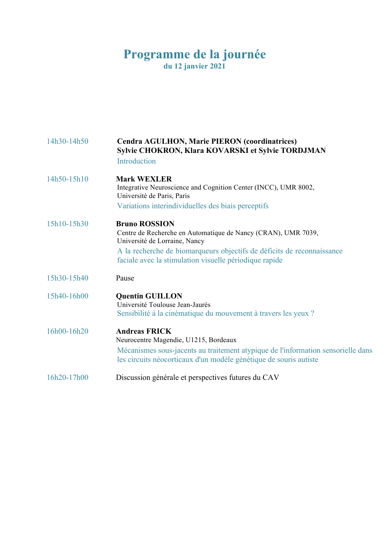# **Programme de la journée du 12 janvier 2021**

| 14h30-14h50 | Cendra AGULHON, Marie PIERON (coordinatrices)<br>Sylvie CHOKRON, Klara KOVARSKI et Sylvie TORDJMAN<br>Introduction                                                                                                                                         |
|-------------|------------------------------------------------------------------------------------------------------------------------------------------------------------------------------------------------------------------------------------------------------------|
| 14h50-15h10 | <b>Mark WEXLER</b><br>Integrative Neuroscience and Cognition Center (INCC), UMR 8002,<br>Université de Paris, Paris<br>Variations interindividuelles des biais perceptifs                                                                                  |
| 15h10-15h30 | <b>Bruno ROSSION</b><br>Centre de Recherche en Automatique de Nancy (CRAN), UMR 7039,<br>Université de Lorraine, Nancy<br>A la recherche de biomarqueurs objectifs de déficits de reconnaissance<br>faciale avec la stimulation visuelle périodique rapide |
| 15h30-15h40 | Pause                                                                                                                                                                                                                                                      |
| 15h40-16h00 | <b>Quentin GUILLON</b><br>Université Toulouse Jean-Jaurès<br>Sensibilité à la cinématique du mouvement à travers les yeux ?                                                                                                                                |
| 16h00-16h20 | <b>Andreas FRICK</b><br>Neurocentre Magendie, U1215, Bordeaux<br>Mécanismes sous-jacents au traitement atypique de l'information sensorielle dans<br>les circuits néocorticaux d'un modèle génétique de souris autiste                                     |
| 16h20-17h00 | Discussion générale et perspectives futures du CAV                                                                                                                                                                                                         |